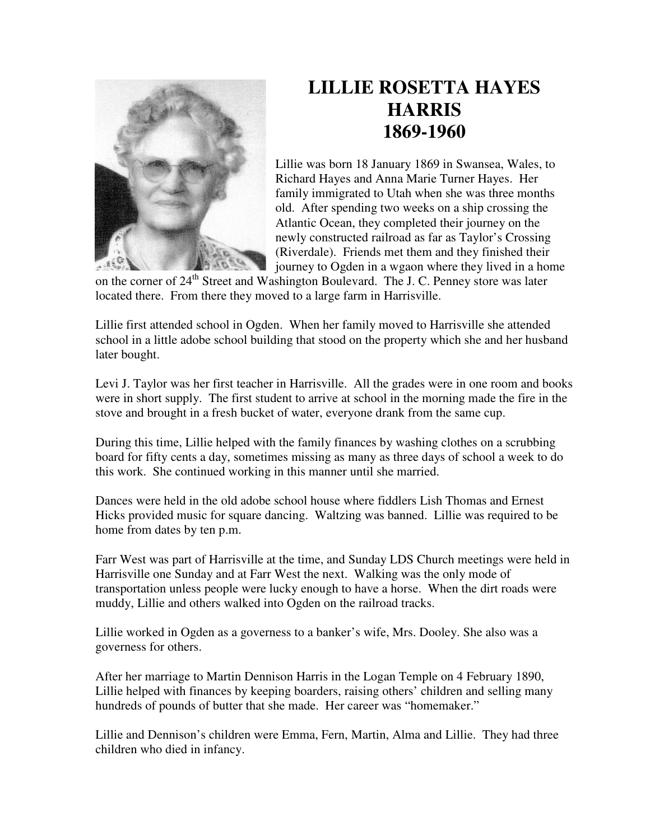

## **LILLIE ROSETTA HAYES HARRIS 1869-1960**

Lillie was born 18 January 1869 in Swansea, Wales, to Richard Hayes and Anna Marie Turner Hayes. Her family immigrated to Utah when she was three months old. After spending two weeks on a ship crossing the Atlantic Ocean, they completed their journey on the newly constructed railroad as far as Taylor's Crossing (Riverdale). Friends met them and they finished their journey to Ogden in a wgaon where they lived in a home

on the corner of 24<sup>th</sup> Street and Washington Boulevard. The J. C. Penney store was later located there. From there they moved to a large farm in Harrisville.

Lillie first attended school in Ogden. When her family moved to Harrisville she attended school in a little adobe school building that stood on the property which she and her husband later bought.

Levi J. Taylor was her first teacher in Harrisville. All the grades were in one room and books were in short supply. The first student to arrive at school in the morning made the fire in the stove and brought in a fresh bucket of water, everyone drank from the same cup.

During this time, Lillie helped with the family finances by washing clothes on a scrubbing board for fifty cents a day, sometimes missing as many as three days of school a week to do this work. She continued working in this manner until she married.

Dances were held in the old adobe school house where fiddlers Lish Thomas and Ernest Hicks provided music for square dancing. Waltzing was banned. Lillie was required to be home from dates by ten p.m.

Farr West was part of Harrisville at the time, and Sunday LDS Church meetings were held in Harrisville one Sunday and at Farr West the next. Walking was the only mode of transportation unless people were lucky enough to have a horse. When the dirt roads were muddy, Lillie and others walked into Ogden on the railroad tracks.

Lillie worked in Ogden as a governess to a banker's wife, Mrs. Dooley. She also was a governess for others.

After her marriage to Martin Dennison Harris in the Logan Temple on 4 February 1890, Lillie helped with finances by keeping boarders, raising others' children and selling many hundreds of pounds of butter that she made. Her career was "homemaker."

Lillie and Dennison's children were Emma, Fern, Martin, Alma and Lillie. They had three children who died in infancy.